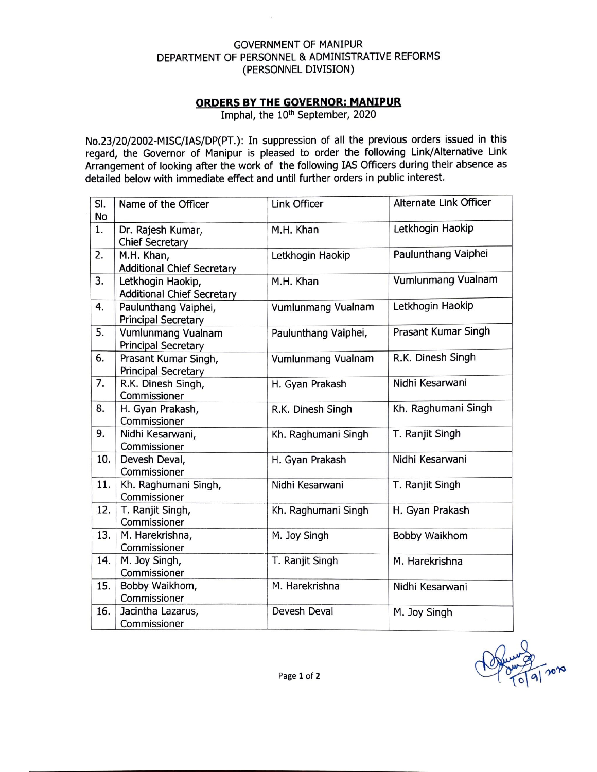## GOVERNMENT OF MANIPUR DEPARTMENT OF PERSONNEL & ADMINISTRATIVE REFORMS (PERSONNEL DIVISION)

 $\overline{\mathcal{N}}$ 

## **ORDERS BY THE GOVERNOR: MANIPUR**

Imphal, the 10<sup>th</sup> September, 2020

No.23/20/2002-MISC/IAS/DP(PT.}: In suppression of all the previous orders issued in this regard, the Governor of Manipur is pleased to order the following Link/Alternative Link Arrangement of looking after the work of the following IAS Officers during their absence as detailed below with immediate effect and until further orders in public interest.

| SI.       | Name of the Officer               | Link Officer         | Alternate Link Officer |
|-----------|-----------------------------------|----------------------|------------------------|
| <b>No</b> |                                   |                      |                        |
| 1.        | Dr. Rajesh Kumar,                 | M.H. Khan            | Letkhogin Haokip       |
|           | <b>Chief Secretary</b>            |                      |                        |
| 2.        | M.H. Khan,                        | Letkhogin Haokip     | Paulunthang Vaiphei    |
|           | <b>Additional Chief Secretary</b> |                      |                        |
| 3.        | Letkhogin Haokip,                 | M.H. Khan            | Vumlunmang Vualnam     |
|           | <b>Additional Chief Secretary</b> |                      |                        |
| 4.        | Paulunthang Vaiphei,              | Vumlunmang Vualnam   | Letkhogin Haokip       |
|           | <b>Principal Secretary</b>        |                      |                        |
| 5.        | Vumlunmang Vualnam                | Paulunthang Vaiphei, | Prasant Kumar Singh    |
|           | <b>Principal Secretary</b>        |                      |                        |
| 6.        | Prasant Kumar Singh,              | Vumlunmang Vualnam   | R.K. Dinesh Singh      |
|           | <b>Principal Secretary</b>        |                      |                        |
| 7.        | R.K. Dinesh Singh,                | H. Gyan Prakash      | Nidhi Kesarwani        |
|           | Commissioner                      |                      |                        |
| 8.        | H. Gyan Prakash,                  | R.K. Dinesh Singh    | Kh. Raghumani Singh    |
|           | Commissioner                      |                      |                        |
| 9.        | Nidhi Kesarwani,                  | Kh. Raghumani Singh  | T. Ranjit Singh        |
|           | Commissioner                      |                      |                        |
| 10.       | Devesh Deval,                     | H. Gyan Prakash      | Nidhi Kesarwani        |
|           | Commissioner                      |                      |                        |
| 11.       | Kh. Raghumani Singh,              | Nidhi Kesarwani      | T. Ranjit Singh        |
|           | Commissioner                      |                      |                        |
| 12.       | T. Ranjit Singh,                  | Kh. Raghumani Singh  | H. Gyan Prakash        |
|           | Commissioner                      |                      |                        |
| 13.       | M. Harekrishna,                   | M. Joy Singh         | Bobby Waikhom          |
|           | Commissioner                      |                      |                        |
| 14.       | M. Joy Singh,                     | T. Ranjit Singh      | M. Harekrishna         |
|           | Commissioner                      |                      |                        |
| 15.       | Bobby Waikhom,                    | M. Harekrishna       | Nidhi Kesarwani        |
|           | Commissioner                      |                      |                        |
| 16.       | Jacintha Lazarus,                 | Devesh Deval         | M. Joy Singh           |
|           | Commissioner                      |                      |                        |

non

Page **1** of **2**